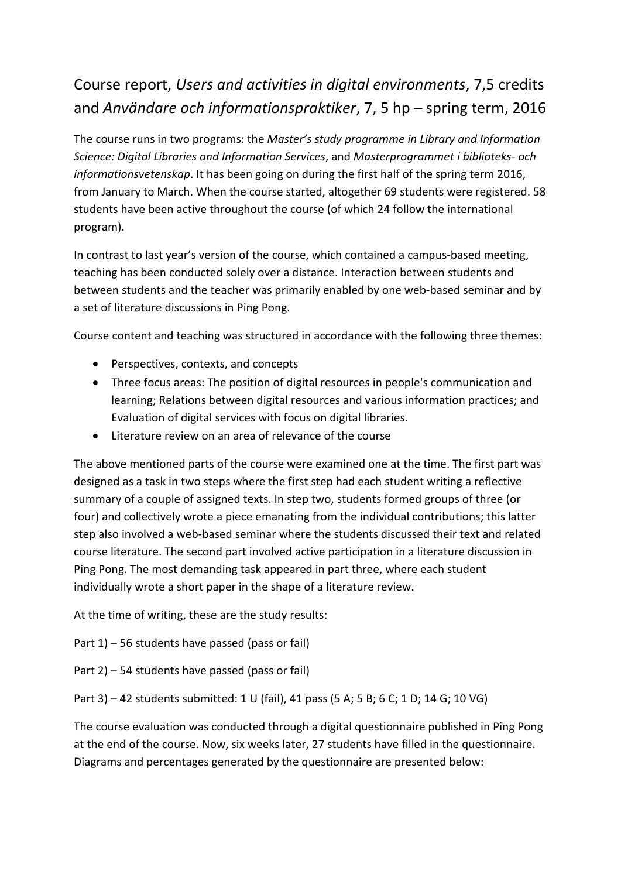## Course report, *Users and activities in digital environments*, 7,5 credits and *Användare och informationspraktiker*, 7, 5 hp – spring term, 2016

The course runs in two programs: the *Master's study programme in Library and Information Science: Digital Libraries and Information Services*, and *Masterprogrammet i biblioteks- och informationsvetenskap*. It has been going on during the first half of the spring term 2016, from January to March. When the course started, altogether 69 students were registered. 58 students have been active throughout the course (of which 24 follow the international program).

In contrast to last year's version of the course, which contained a campus-based meeting, teaching has been conducted solely over a distance. Interaction between students and between students and the teacher was primarily enabled by one web-based seminar and by a set of literature discussions in Ping Pong.

Course content and teaching was structured in accordance with the following three themes:

- Perspectives, contexts, and concepts
- Three focus areas: The position of digital resources in people's communication and learning; Relations between digital resources and various information practices; and Evaluation of digital services with focus on digital libraries.
- Literature review on an area of relevance of the course

The above mentioned parts of the course were examined one at the time. The first part was designed as a task in two steps where the first step had each student writing a reflective summary of a couple of assigned texts. In step two, students formed groups of three (or four) and collectively wrote a piece emanating from the individual contributions; this latter step also involved a web-based seminar where the students discussed their text and related course literature. The second part involved active participation in a literature discussion in Ping Pong. The most demanding task appeared in part three, where each student individually wrote a short paper in the shape of a literature review.

At the time of writing, these are the study results:

Part 1) – 56 students have passed (pass or fail)

Part 2) – 54 students have passed (pass or fail)

Part 3) – 42 students submitted: 1 U (fail), 41 pass (5 A; 5 B; 6 C; 1 D; 14 G; 10 VG)

The course evaluation was conducted through a digital questionnaire published in Ping Pong at the end of the course. Now, six weeks later, 27 students have filled in the questionnaire. Diagrams and percentages generated by the questionnaire are presented below: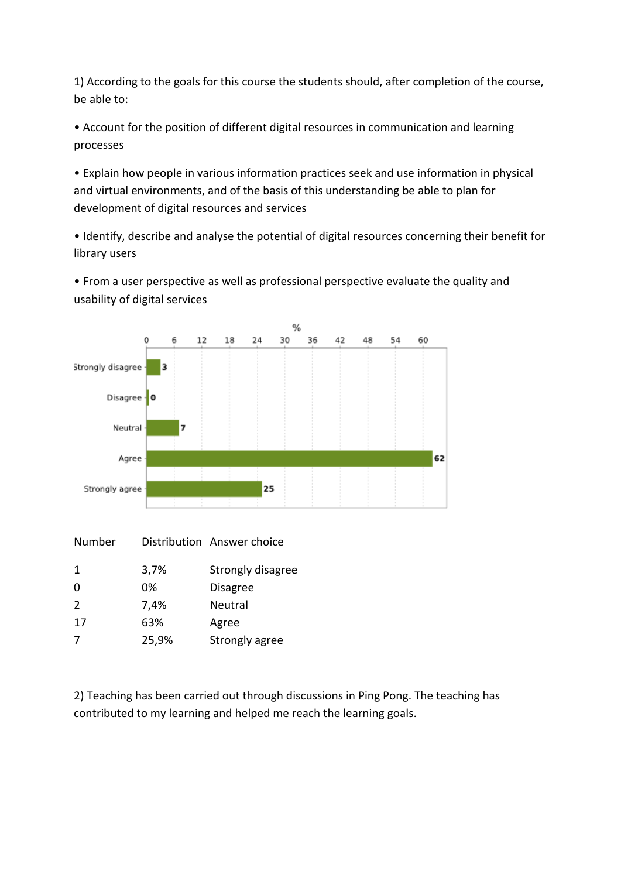1) According to the goals for this course the students should, after completion of the course, be able to:

• Account for the position of different digital resources in communication and learning processes

• Explain how people in various information practices seek and use information in physical and virtual environments, and of the basis of this understanding be able to plan for development of digital resources and services

• Identify, describe and analyse the potential of digital resources concerning their benefit for library users

• From a user perspective as well as professional perspective evaluate the quality and usability of digital services



| Number        |       | Distribution Answer choice |
|---------------|-------|----------------------------|
| $\mathbf{1}$  | 3,7%  | Strongly disagree          |
| $\Omega$      | 0%    | <b>Disagree</b>            |
| $\mathcal{L}$ | 7,4%  | Neutral                    |
| 17            | 63%   | Agree                      |
| 7             | 25,9% | Strongly agree             |

2) Teaching has been carried out through discussions in Ping Pong. The teaching has contributed to my learning and helped me reach the learning goals.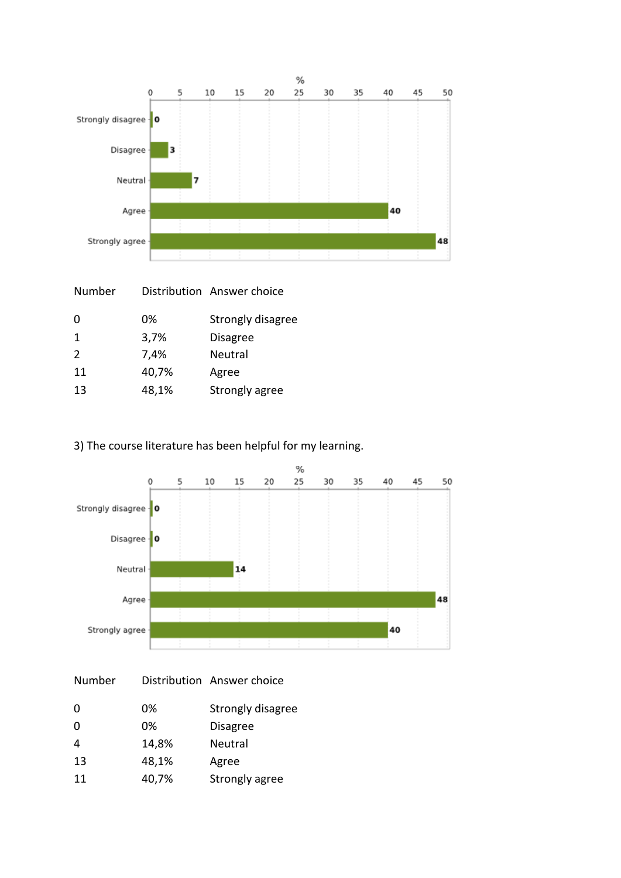

| Number |       | Distribution Answer choice |
|--------|-------|----------------------------|
| 0      | 0%    | Strongly disagree          |
| 1      | 3,7%  | <b>Disagree</b>            |
| 2      | 7,4%  | Neutral                    |
| 11     | 40,7% | Agree                      |
| 13     | 48,1% | Strongly agree             |
|        |       |                            |

## 3) The course literature has been helpful for my learning.



| Number   |       | Distribution Answer choice |
|----------|-------|----------------------------|
| $\Omega$ | 0%    | Strongly disagree          |
| 0        | 0%    | <b>Disagree</b>            |
| 4        | 14,8% | Neutral                    |
| 13       | 48,1% | Agree                      |
| 11       | 40,7% | Strongly agree             |
|          |       |                            |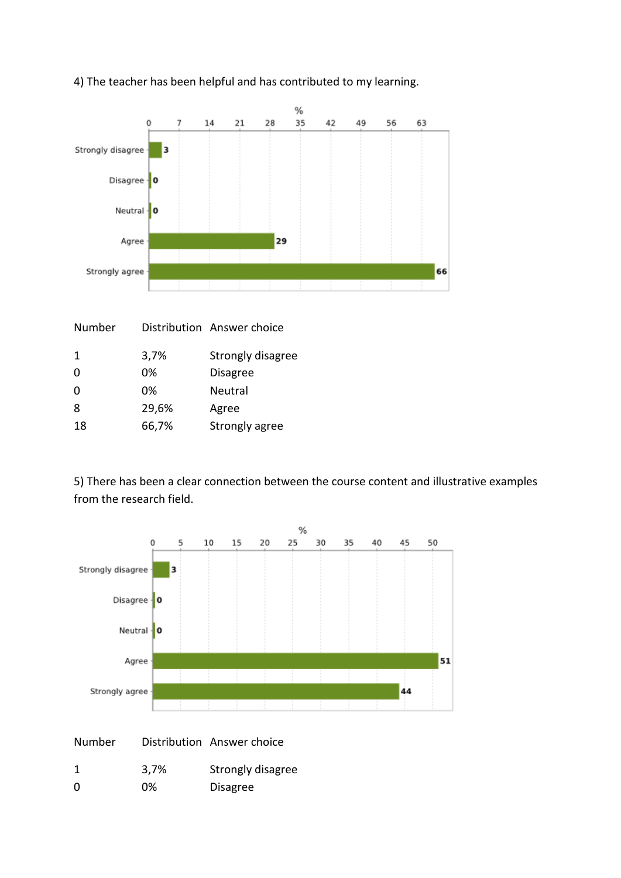

## 4) The teacher has been helpful and has contributed to my learning.

| Number       |       | Distribution Answer choice |
|--------------|-------|----------------------------|
| $\mathbf{1}$ | 3,7%  | Strongly disagree          |
| 0            | 0%    | <b>Disagree</b>            |
| 0            | 0%    | Neutral                    |
| 8            | 29,6% | Agree                      |
| 18           | 66,7% | Strongly agree             |
|              |       |                            |

5) There has been a clear connection between the course content and illustrative examples from the research field.



| Number |  | Distribution Answer choice |
|--------|--|----------------------------|
|--------|--|----------------------------|

|          | 3,7% | Strongly disagree |
|----------|------|-------------------|
| $\Omega$ | 0%   | <b>Disagree</b>   |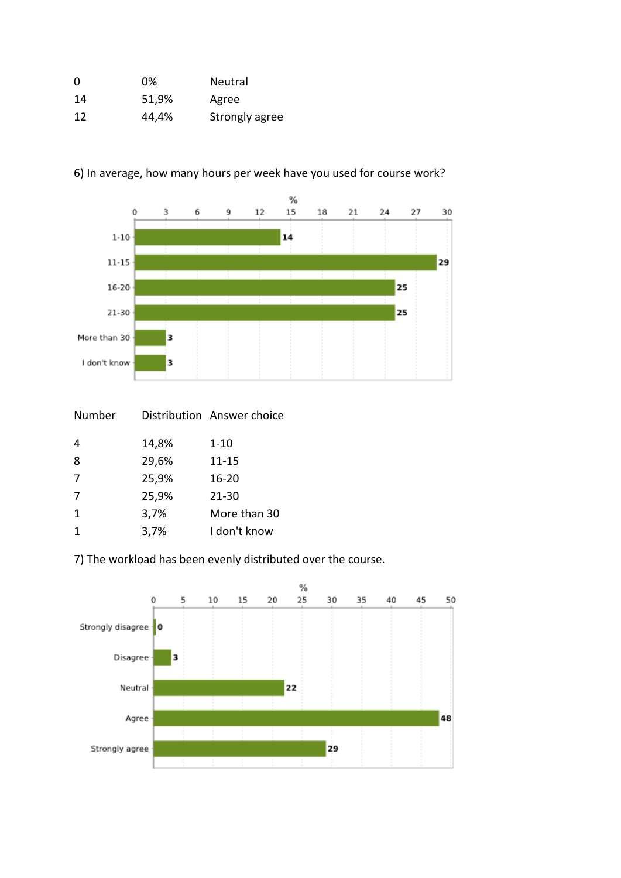| 0  | 0%    | <b>Neutral</b> |
|----|-------|----------------|
| 14 | 51,9% | Agree          |
| 12 | 44,4% | Strongly agree |



6) In average, how many hours per week have you used for course work?

| Number |       | Distribution Answer choice |
|--------|-------|----------------------------|
| 4      | 14,8% | $1 - 10$                   |
| 8      | 29,6% | 11-15                      |
| 7      | 25,9% | $16 - 20$                  |
| 7      | 25,9% | $21 - 30$                  |
| 1      | 3,7%  | More than 30               |
|        | 3,7%  | I don't know               |
|        |       |                            |

7) The workload has been evenly distributed over the course.

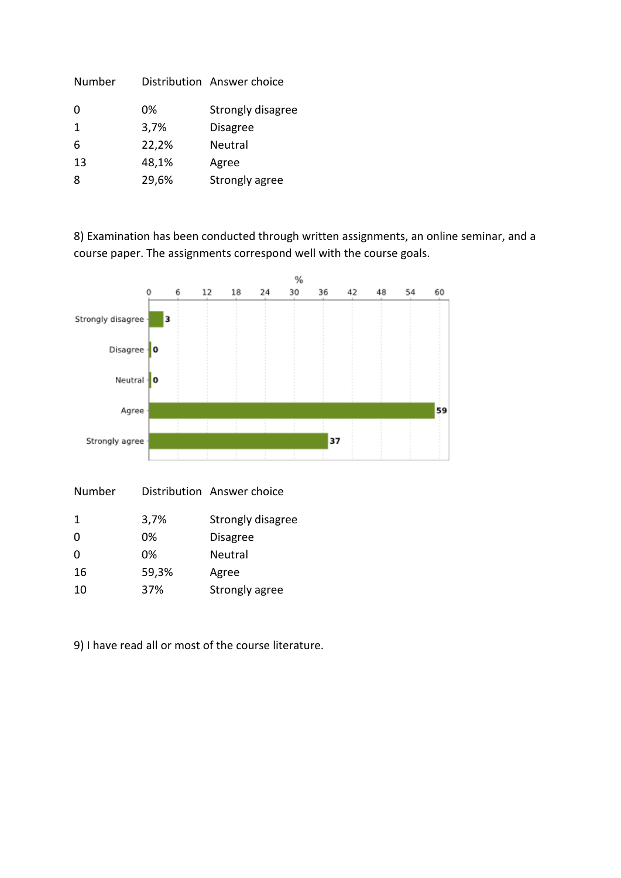| Number      |       | Distribution Answer choice |
|-------------|-------|----------------------------|
| 0           | 0%    | Strongly disagree          |
| $\mathbf 1$ | 3,7%  | <b>Disagree</b>            |
| 6           | 22,2% | <b>Neutral</b>             |
| 13          | 48,1% | Agree                      |
| 8           | 29,6% | Strongly agree             |

8) Examination has been conducted through written assignments, an online seminar, and a course paper. The assignments correspond well with the course goals.



| 1  | 3,7%  | Strongly disagree |
|----|-------|-------------------|
| 0  | 0%    | <b>Disagree</b>   |
| O  | 0%    | <b>Neutral</b>    |
| 16 | 59,3% | Agree             |
| 10 | 37%   | Strongly agree    |

Number Distribution Answer choice

9) I have read all or most of the course literature.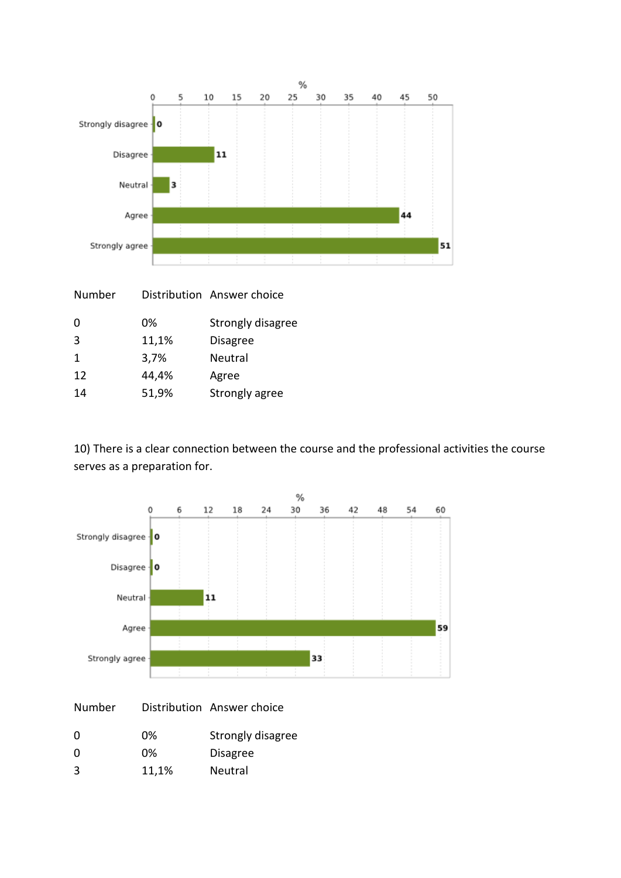

| Number       |       | Distribution Answer choice |
|--------------|-------|----------------------------|
| 0            | 0%    | Strongly disagree          |
| 3            | 11,1% | <b>Disagree</b>            |
| $\mathbf{1}$ | 3,7%  | Neutral                    |
| 12           | 44,4% | Agree                      |
| 14           | 51,9% | Strongly agree             |
|              |       |                            |

10) There is a clear connection between the course and the professional activities the course serves as a preparation for.



| Number   |       | Distribution Answer choice |
|----------|-------|----------------------------|
| $\Omega$ | 0%    | Strongly disagree          |
| $\Omega$ | 0%    | <b>Disagree</b>            |
| 3        | 11,1% | <b>Neutral</b>             |